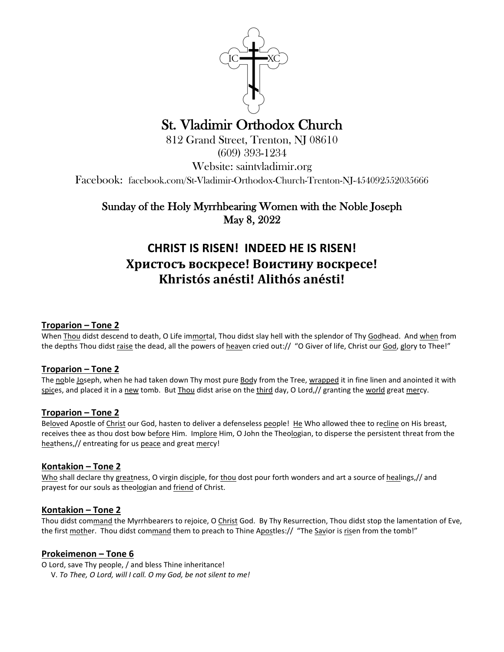

# St. Vladimir Orthodox Church 812 Grand Street, Trenton, NJ 08610

(609) 393-1234

Website: saintvladimir.org

Facebook: facebook.com/St-Vladimir-Orthodox-Church-Trenton-NJ-454092552035666

Sunday of the Holy Myrrhbearing Women with the Noble Joseph May 8, 2022

# **CHRIST IS RISEN! INDEED HE IS RISEN! Христосъ воскресе! Воистину воскресе! Khristós anésti! Alithós anésti!**

# **Troparion – Tone 2**

When Thou didst descend to death, O Life immortal, Thou didst slay hell with the splendor of Thy Godhead. And when from the depths Thou didst raise the dead, all the powers of heaven cried out:// "O Giver of life, Christ our God, glory to Thee!"

#### **Troparion – Tone 2**

The noble Joseph, when he had taken down Thy most pure Body from the Tree, wrapped it in fine linen and anointed it with spices, and placed it in a new tomb. But Thou didst arise on the third day, O Lord,// granting the world great mercy.

# **Troparion – Tone 2**

Beloved Apostle of Christ our God, hasten to deliver a defenseless people! He Who allowed thee to recline on His breast, receives thee as thou dost bow before Him. Implore Him, O John the Theologian, to disperse the persistent threat from the heathens,// entreating for us peace and great mercy!

#### **Kontakion – Tone 2**

Who shall declare thy greatness, O virgin disciple, for thou dost pour forth wonders and art a source of healings,// and prayest for our souls as theologian and friend of Christ.

#### **Kontakion – Tone 2**

Thou didst command the Myrrhbearers to rejoice, O Christ God. By Thy Resurrection, Thou didst stop the lamentation of Eve, the first mother. Thou didst command them to preach to Thine Apostles:// "The Savior is risen from the tomb!"

#### **Prokeimenon – Tone 6**

O Lord, save Thy people, / and bless Thine inheritance!

V. *To Thee, O Lord, will I call. O my God, be not silent to me!*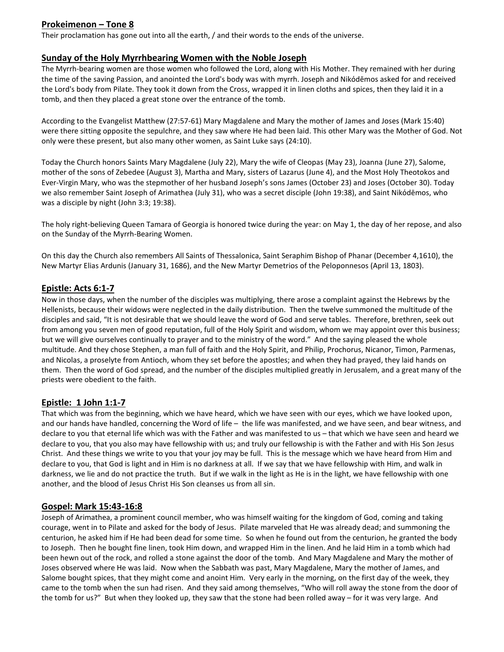# **Prokeimenon – Tone 8**

Their proclamation has gone out into all the earth, / and their words to the ends of the universe.

#### **Sunday of the Holy Myrrhbearing Women with the Noble Joseph**

The Myrrh-bearing women are those women who followed the Lord, along with His Mother. They remained with her during the time of the saving Passion, and anointed the Lord's body was with myrrh. Joseph and Νikόdēmos asked for and received the Lord's body from Pilate. They took it down from the Cross, wrapped it in linen cloths and spices, then they laid it in a tomb, and then they placed a great stone over the entrance of the tomb.

According to the Evangelist Matthew (27:57-61) Mary Magdalene and Mary the mother of James and Joses (Mark 15:40) were there sitting opposite the sepulchre, and they saw where He had been laid. This other Mary was the Mother of God. Not only were these present, but also many other women, as Saint Luke says (24:10).

Today the Church honors Saints Mary Magdalene (July 22), Mary the wife of Cleopas (May 23), Joanna (June 27), Salome, mother of the sons of Zebedee (August 3), Martha and Mary, sisters of Lazarus (June 4), and the Most Holy Theotokos and Ever-Virgin Mary, who was the stepmother of her husband Joseph's sons James (October 23) and Joses (October 30). Today we also remember Saint Joseph of Arimathea (July 31), who was a secret disciple (John 19:38), and Saint Νikόdēmos, who was a disciple by night (John 3:3; 19:38).

The holy right-believing Queen Tamara of Georgia is honored twice during the year: on May 1, the day of her repose, and also on the Sunday of the Myrrh-Bearing Women.

On this day the Church also remembers All Saints of Thessalonica, Saint Seraphim Bishop of Phanar (December 4,1610), the New Martyr Elias Ardunis (January 31, 1686), and the New Martyr Demetrios of the Peloponnesos (April 13, 1803).

#### **Epistle: Acts 6:1-7**

Now in those days, when the number of the disciples was multiplying, there arose a complaint against the Hebrews by the Hellenists, because their widows were neglected in the daily distribution. Then the twelve summoned the multitude of the disciples and said, "It is not desirable that we should leave the word of God and serve tables. Therefore, brethren, seek out from among you seven men of good reputation, full of the Holy Spirit and wisdom, whom we may appoint over this business; but we will give ourselves continually to prayer and to the ministry of the word." And the saying pleased the whole multitude. And they chose Stephen, a man full of faith and the Holy Spirit, and Philip, Prochorus, Nicanor, Timon, Parmenas, and Nicolas, a proselyte from Antioch, whom they set before the apostles; and when they had prayed, they laid hands on them. Then the word of God spread, and the number of the disciples multiplied greatly in Jerusalem, and a great many of the priests were obedient to the faith.

# **Epistle: 1 John 1:1-7**

That which was from the beginning, which we have heard, which we have seen with our eyes, which we have looked upon, and our hands have handled, concerning the Word of life – the life was manifested, and we have seen, and bear witness, and declare to you that eternal life which was with the Father and was manifested to us – that which we have seen and heard we declare to you, that you also may have fellowship with us; and truly our fellowship is with the Father and with His Son Jesus Christ. And these things we write to you that your joy may be full. This is the message which we have heard from Him and declare to you, that God is light and in Him is no darkness at all. If we say that we have fellowship with Him, and walk in darkness, we lie and do not practice the truth. But if we walk in the light as He is in the light, we have fellowship with one another, and the blood of Jesus Christ His Son cleanses us from all sin.

#### **Gospel: Mark 15:43-16:8**

Joseph of Arimathea, a prominent council member, who was himself waiting for the kingdom of God, coming and taking courage, went in to Pilate and asked for the body of Jesus. Pilate marveled that He was already dead; and summoning the centurion, he asked him if He had been dead for some time. So when he found out from the centurion, he granted the body to Joseph. Then he bought fine linen, took Him down, and wrapped Him in the linen. And he laid Him in a tomb which had been hewn out of the rock, and rolled a stone against the door of the tomb. And Mary Magdalene and Mary the mother of Joses observed where He was laid. Now when the Sabbath was past, Mary Magdalene, Mary the mother of James, and Salome bought spices, that they might come and anoint Him. Very early in the morning, on the first day of the week, they came to the tomb when the sun had risen. And they said among themselves, "Who will roll away the stone from the door of the tomb for us?" But when they looked up, they saw that the stone had been rolled away – for it was very large. And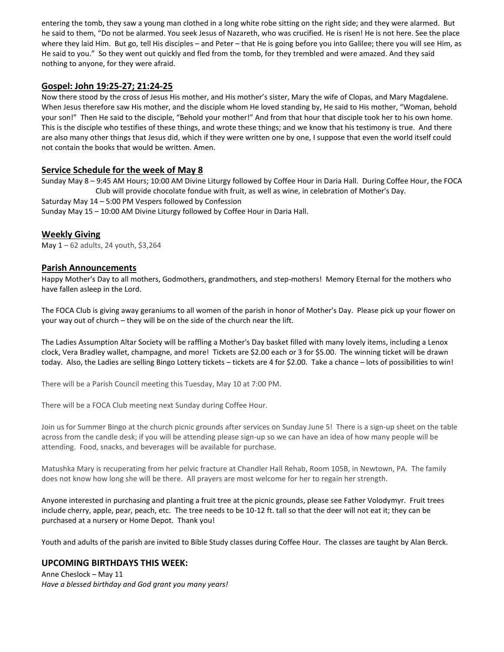entering the tomb, they saw a young man clothed in a long white robe sitting on the right side; and they were alarmed. But he said to them, "Do not be alarmed. You seek Jesus of Nazareth, who was crucified. He is risen! He is not here. See the place where they laid Him. But go, tell His disciples – and Peter – that He is going before you into Galilee; there you will see Him, as He said to you." So they went out quickly and fled from the tomb, for they trembled and were amazed. And they said nothing to anyone, for they were afraid.

#### **Gospel: John 19:25-27; 21:24-25**

Now there stood by the cross of Jesus His mother, and His mother's sister, Mary the wife of Clopas, and Mary Magdalene. When Jesus therefore saw His mother, and the disciple whom He loved standing by, He said to His mother, "Woman, behold your son!" Then He said to the disciple, "Behold your mother!" And from that hour that disciple took her to his own home. This is the disciple who testifies of these things, and wrote these things; and we know that his testimony is true. And there are also many other things that Jesus did, which if they were written one by one, I suppose that even the world itself could not contain the books that would be written. Amen.

# **Service Schedule for the week of May 8**

Sunday May 8 – 9:45 AM Hours; 10:00 AM Divine Liturgy followed by Coffee Hour in Daria Hall. During Coffee Hour, the FOCA Club will provide chocolate fondue with fruit, as well as wine, in celebration of Mother's Day. Saturday May 14 – 5:00 PM Vespers followed by Confession Sunday May 15 – 10:00 AM Divine Liturgy followed by Coffee Hour in Daria Hall.

#### **Weekly Giving**

May  $1 - 62$  adults, 24 youth, \$3,264

#### **Parish Announcements**

Happy Mother's Day to all mothers, Godmothers, grandmothers, and step-mothers! Memory Eternal for the mothers who have fallen asleep in the Lord.

The FOCA Club is giving away geraniums to all women of the parish in honor of Mother's Day. Please pick up your flower on your way out of church – they will be on the side of the church near the lift.

The Ladies Assumption Altar Society will be raffling a Mother's Day basket filled with many lovely items, including a Lenox clock, Vera Bradley wallet, champagne, and more! Tickets are \$2.00 each or 3 for \$5.00. The winning ticket will be drawn today. Also, the Ladies are selling Bingo Lottery tickets – tickets are 4 for \$2.00. Take a chance – lots of possibilities to win!

There will be a Parish Council meeting this Tuesday, May 10 at 7:00 PM.

There will be a FOCA Club meeting next Sunday during Coffee Hour.

Join us for Summer Bingo at the church picnic grounds after services on Sunday June 5! There is a sign-up sheet on the table across from the candle desk; if you will be attending please sign-up so we can have an idea of how many people will be attending. Food, snacks, and beverages will be available for purchase.

Matushka Mary is recuperating from her pelvic fracture at Chandler Hall Rehab, Room 105B, in Newtown, PA. The family does not know how long she will be there. All prayers are most welcome for her to regain her strength.

Anyone interested in purchasing and planting a fruit tree at the picnic grounds, please see Father Volodymyr. Fruit trees include cherry, apple, pear, peach, etc. The tree needs to be 10-12 ft. tall so that the deer will not eat it; they can be purchased at a nursery or Home Depot. Thank you!

Youth and adults of the parish are invited to Bible Study classes during Coffee Hour. The classes are taught by Alan Berck.

# **UPCOMING BIRTHDAYS THIS WEEK:**

Anne Cheslock – May 11 *Have a blessed birthday and God grant you many years!*